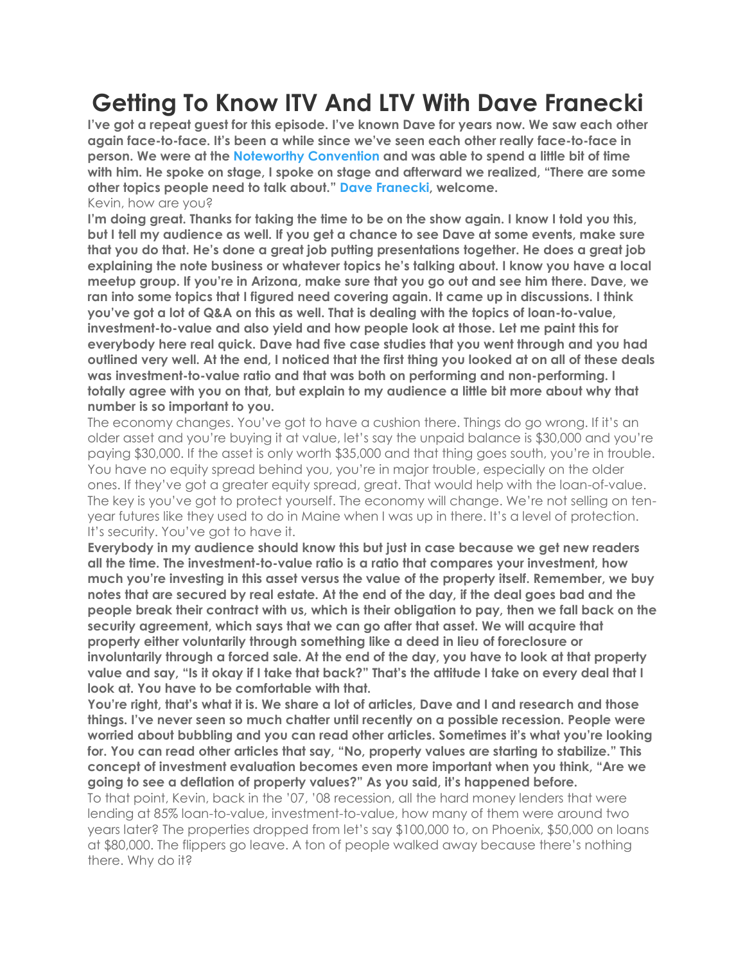## **Getting To Know ITV And LTV With Dave Franecki**

**I've got a repeat guest for this episode. I've known Dave for years now. We saw each other again face-to-face. It's been a while since we've seen each other really face-to-face in person. We were at the Noteworthy Convention and was able to spend a little bit of time with him.He spoke on stage, I spoke on stage and afterward we realized, "There are some other topics people need to talk about." Dave Franecki, welcome.** Kevin, how are you?

I'm doing great. Thanks for taking the time to be on the show again. I know I told you this, but I fell my audience as well. If you get a chance to see Dave at some events, make sure **that you do that. He's done a great job putting presentations together. He does a great job explaining the note business or whatever topics he's talking about. I know you have a local meetup group. If you're in Arizona, make sure that you go out and see him there. Dave, we ran into some topics that I figured need covering again. It came up in discussions. I think you've got a lot of Q&A on this as well. That is dealing with the topics ofloan-to-value, investment-to-value and also yield and how people look at those. Let me paint this for everybody here real quick. Dave had five case studies that you went through and you had** outlined very well. At the end, I noticed that the first thing you looked at on all of these deals **was investment-to-value ratio and that was both on performing and non-performing. I totally agree with you on that, but explain to my audience a little bit more about why that number is so important to you.**

The economy changes. You've got to have a cushion there. Things do go wrong. If it's an older asset and you're buying it at value, let's say the unpaid balance is \$30,000 and you're paying \$30,000. If the asset is only worth \$35,000 and that thing goes south, you're in trouble. You have no equity spread behind you, you're in major trouble, especially on the older ones. If they've got a greater equity spread, great. That would help with the loan-of-value. The key is you've got to protect yourself. The economy will change. We're not selling on ten year futures like they used to do in Maine when I was up in there. It's a level of protection. It's security. You've got to have it.

**Everybody in my audience should know this butjust in case because we get new readers all the time.The investment-to-value ratio is a ratio that compares your investment, how much you're investing in this asset versus the value of the property itself. Remember, we buy** notes that are secured by real estate. At the end of the day, if the deal goes bad and the **people break their contract with us, which is their obligation to pay, then we fall back on the security agreement, which says that we can go after that asset. We will acquire that property either voluntarily through something like a deed in lieu of foreclosure or involuntarily through a forced sale. At the end of the day, you have to look at that property** value and say, "Is it okay if I take that back?" That's the attitude I take on every deal that I **look at. You have to be comfortable with that.**

**You're right,that's what it is. We share a lot of articles, Dave and I and research and those things. I've never seen so much chatter until recently on a possible recession. People were worried about bubbling and you can read other articles. Sometimes it's what you're looking for. You can read other articles that say, "No, property values are starting to stabilize." This concept of investment evaluation becomes even more important when you think, "Are we going to see a deflation of property values?" As you said, it's happened before.**

To that point, Kevin, back in the '07, '08 recession, all the hard money lenders that were lending at 85% loan-to-value, investment-to-value, how many of them were around two years later? The properties dropped from let's say \$100,000 to, on Phoenix, \$50,000 on loans at \$80,000. The flippers go leave. A ton of people walked away because there's nothing there. Why do it?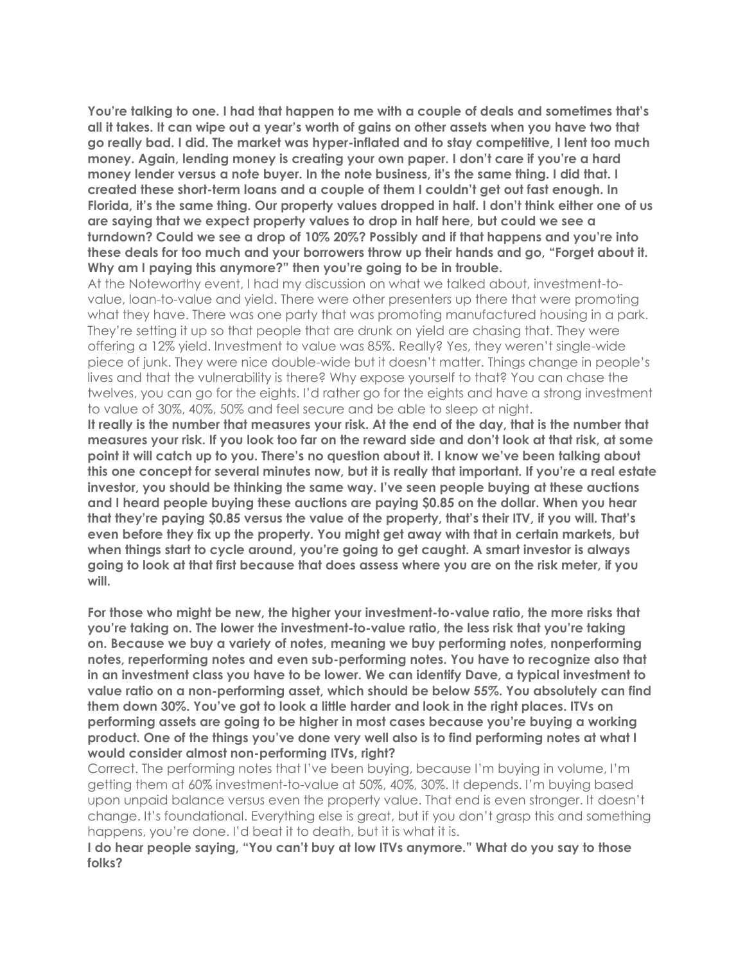**You're talking to one. I had that happen to me with a couple of deals and sometimes that's** all it takes. It can wipe out a year's worth of gains on other assets when you have two that **go really bad. I did. The market was hyper-inflated and to stay competitive, I lent too much money. Again, lending money is creating your own paper. I don't care if you're a hard money lender versus a note buyer. In the note business, it's the same thing. I did that. I created these short-term loans and a couple of them I couldn't get out fast enough. In Florida, it's the same thing. Our property values dropped in half. I don't think either one of us are saying that we expect property values to drop in half here, but could we see a turndown? Could we see a drop of 10% 20%? Possibly and if that happens and you're into these deals for too much and your borrowers throw up their hands and go, "Forget about it. Why am I paying this anymore?" then you're going to be in trouble.**

At the Noteworthy event, I had my discussion on what we talked about, investment-to value, loan-to-value and yield. There were other presenters up there that were promoting what they have. There was one party that was promoting manufactured housing in a park. They're setting it up so that people that are drunk on yield are chasing that. They were offering a 12% yield. Investment to value was 85%. Really? Yes, they weren't single-wide piece of junk. They were nice double-wide but it doesn't matter. Things change in people's lives and that the vulnerability is there? Why expose yourself to that? You can chase the twelves, you can go for the eights. I'd rather go for the eights and have a strong investment to value of 30%, 40%, 50% and feel secure and be able to sleep at night.

It really is the number that measures your risk. At the end of the day, that is the number that measures your risk. If you look too far on the reward side and don't look at that risk, at some **point it will catch up to you. There's no question about it. I know we've been talking about this one concept for several minutes now, but it is really that important. If you're a real estate investor, you should be thinking the same way. I've seen people buying at these auctions and I heard people buying these auctions are paying \$0.85 on the dollar. When you hear that they're paying \$0.85 versus the value of the property, that's their ITV, if you will. That's even before they fix up the property. You might get away with that in certain markets, but when things start to cycle around, you're going to get caught. A smart investor is always** going to look at that first because that does assess where you are on the risk meter, if you **will.**

**For those who might be new, the higher your investment-to-value ratio, the more risks that you're taking on. The lower the investment-to-value ratio,the less risk that you're taking on. Because we buy a variety of notes, meaning we buy performing notes, nonperforming notes, reperforming notes and even sub-performing notes. You have to recognize also that in an investment class you have to be lower. We can identify Dave, a typical investment to value ratio on a non-performing asset, which should be below 55%. You absolutely can find them down 30%. You've got to look a little harder and look in the right places. ITVs on performing assets are going to be higher in most cases because you're buying a working product. One of the things you've done very well also is to find performing notes at what I would consider almost non-performing ITVs, right?**

Correct. The performing notes that I've been buying, because I'm buying in volume, I'm getting them at 60% investment-to-value at 50%, 40%, 30%. It depends. I'm buying based upon unpaid balance versus even the property value. That end is even stronger. It doesn't change. It's foundational. Everything else is great, but if you don't grasp this and something happens, you're done. I'd beat it to death, but it is what it is.

**I do hear people saying, "You can't buy at low ITVs anymore." What do you say to those folks?**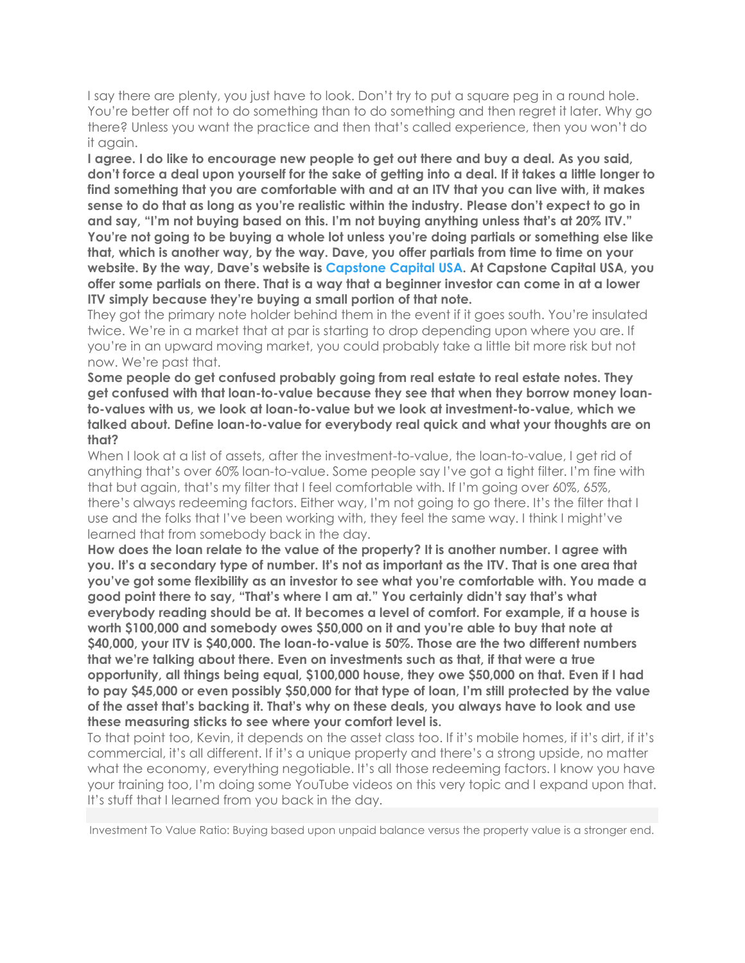I say there are plenty, you just have to look. Don't try to put a square peg in a round hole. You're better off not to do something than to do something and then regret it later. Why go there? Unless you want the practice and then that's called experience, then you won't do it again.

**I agree. I do like to encourage new people to get out there and buy a deal.As you said,** don't force a deal upon yourself for the sake of getting into a deal. If it takes a little longer to **find something that you are comfortable with and at an ITV that you can live with, it makes sense to do that as long as you're realistic within the industry. Please don't expect to go in and say, "I'm not buying based on this. I'm not buying anything unless that's at 20% ITV." You're not going to be buying a whole lot unless you're doing partials or something else like that, which is another way, by the way.Dave, you offer partials from time to time on your website. By the way, Dave's website is Capstone Capital USA. At Capstone Capital USA, you offer some partials on there. That is a way thata beginner investor can come in at a lower ITV simply because they're buying a small portion of that note.**

They got the primary note holder behind them in the event if it goes south. You're insulated twice. We're in a market that at par is starting to drop depending upon where you are. If you're in an upward moving market, you could probably take a little bit more risk but not now. We're past that.

**Some people do get confused probably going from real estate to real estate notes. They get confused with that loan-to-value because they see that when they borrow money loanto-values with us, we look at loan-to-value but we look at investment-to-value, which we talked about. Define loan-to-value for everybody real quick and whatyour thoughts are on that?**

When I look at a list of assets, after the investment-to-value, the loan-to-value, I get rid of anything that's over 60% loan-to-value. Some people say I've got a tight filter. I'm fine with that but again, that's my filter that I feel comfortable with. If I'm going over 60%, 65%, there's always redeeming factors. Either way, I'm not going to go there. It's the filter that I use and the folks that I've been working with, they feel the same way. I think I might've learned that from somebody back in the day.

**How doesthe loan relate to the value of the property? It is another number. I agree with** you. It's a secondary type of number. It's not as important as the ITV. That is one area that **you've got some flexibility as an investor to see what you're comfortable with. You made a good point there to say, "That's where I am at." You certainly didn't say that's what everybody reading should be at. It becomes a level of comfort. For example, if a house is worth \$100,000 and somebody owes \$50,000 on it and you're able to buy that note at \$40,000, your ITV is \$40,000. The loan-to-value is 50%. Those are the two different numbers that we're talking about there. Even on investments such as that, if that were a true opportunity, all things being equal, \$100,000 house, they owe \$50,000 on that.Even if I had to pay \$45,000 or even possibly \$50,000 for that type of loan, I'm still protected by the value of the asset that's backing it. That's why on these deals, you always have to look and use these measuring sticks to see where yourcomfort level is.**

To that point too, Kevin, it depends on the asset class too. If it's mobile homes, if it's dirt, if it's commercial, it's all different. If it's a unique property and there's a strong upside, no matter what the economy, everything negotiable. It's all those redeeming factors. I know you have your training too, I'm doing some YouTube videos on this very topic and I expand upon that. It's stuff that I learned from you back in the day.

Investment To Value Ratio: Buying based upon unpaid balance versus the property value is a stronger end.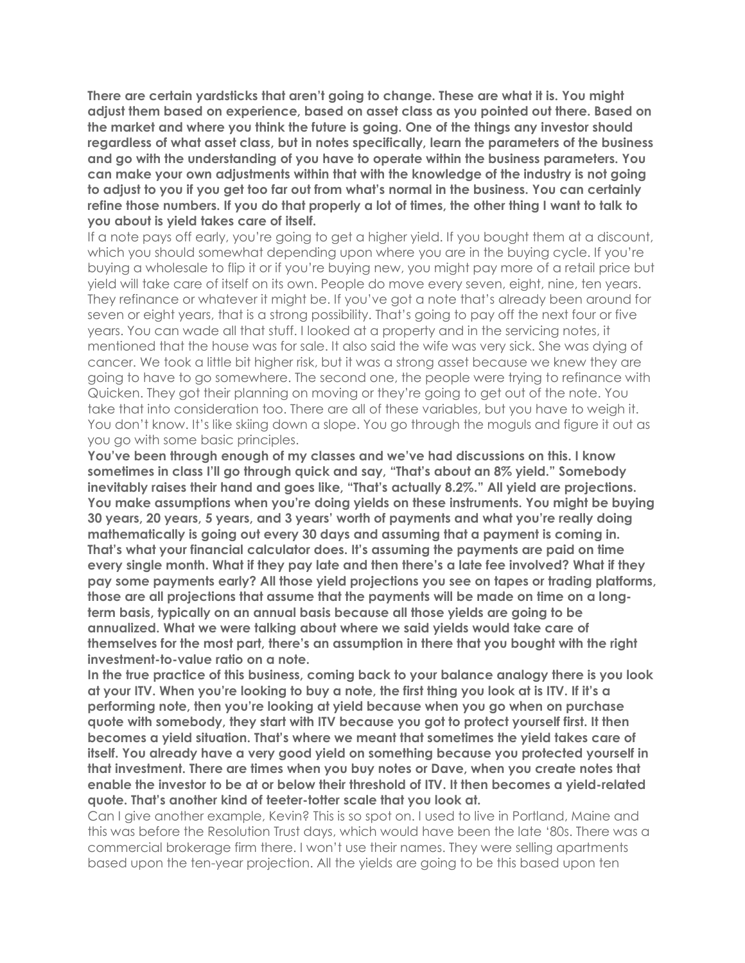**There are certain yardsticks that aren't going to change. These are what it is. You might adjust them based on experience, based on asset class as you pointed out there. Based on the market and where you think the future is going. One of the things any investor should regardless ofwhat asset class, but in notes specifically, learn the parameters ofthe business and go with the understanding of you have to operate within the business parameters. You can make your own adjustments within that with the knowledge of the industry is not going** to adjust to you if you get too far out from what's normal in the business. You can certainly refine those numbers. If you do that properly a lot of times, the other thing I want to talk to **you about is yield takes care of itself.**

If a note pays off early, you're going to get a higher yield. If you bought them at a discount, which you should somewhat depending upon where you are in the buying cycle. If you're buying a wholesale to flip it or if you're buying new, you might pay more of a retail price but yield will take care of itself on its own. People do move every seven, eight, nine, ten years. They refinance or whatever it might be. If you've got a note that's already been around for seven or eight years, that is a strong possibility. That's going to pay off the next four or five years. You can wade all that stuff. I looked at a property and in the servicing notes, it mentioned that the house was for sale. It also said the wife was very sick. She was dying of cancer. We took a little bit higher risk, but it was a strong asset because we knew they are going to have to go somewhere. The second one, the people were trying to refinance with Quicken. They got their planning on moving or they're going to get out of the note. You take that into consideration too. There are all of these variables, but you have to weigh it. You don't know. It's like skiing down a slope. You go through the moguls and figure it out as you go with some basic principles.

**You've been through enough of my classes and we've had discussions on this. I know sometimes in class I'll go through quick and say, "That's about an 8% yield." Somebody inevitably raises their hand and goes like, "That's actually 8.2%." All yield are projections. You make assumptions when you're doing yields on these instruments. You might be buying 30 years, 20 years, 5 years, and 3 years' worth of payments and whatyou're really doing mathematically is going out every 30 days and assuming that a payment is coming in. That's what your financial calculator does. It's assuming the payments are paid on time every single month. What if they pay late and then there's a late fee involved? What if they pay some payments early? All those yield projections you see on tapes or trading platforms, those are all projections that assume that the payments will be made on time on a longterm basis, typically on an annual basis because all those yields are going to be annualized. What we were talking about where we said yields would take care of themselves for the most part, there's an assumption in there that you bought with the right investment-to-value ratio on a note.**

**In the true practice of this business, coming back to yourbalance analogy there is you look** at your ITV. When you're looking to buy a note, the first thing you look at is ITV. If it's a **performing note, then you're looking at yield because when you go when on purchase quote with somebody, they start with ITV because you got to protect yourself first. It then becomes a yield situation. That's where we meant that sometimes the yield takes care of itself. You already have a very good yield on something because you protected yourself in that investment. There are times when you buy notes or Dave, when you create notes that enable the investor to be at or below their threshold of ITV. It then becomes a yield-related quote. That's another kind of teeter-totter scale that you look at.**

Can I give another example, Kevin? This is so spot on. I used to live in Portland, Maine and this was before the Resolution Trust days, which would have been the late '80s. There was a commercial brokerage firm there. I won't use their names. They were selling apartments based upon the ten-year projection. All the yields are going to be this based upon ten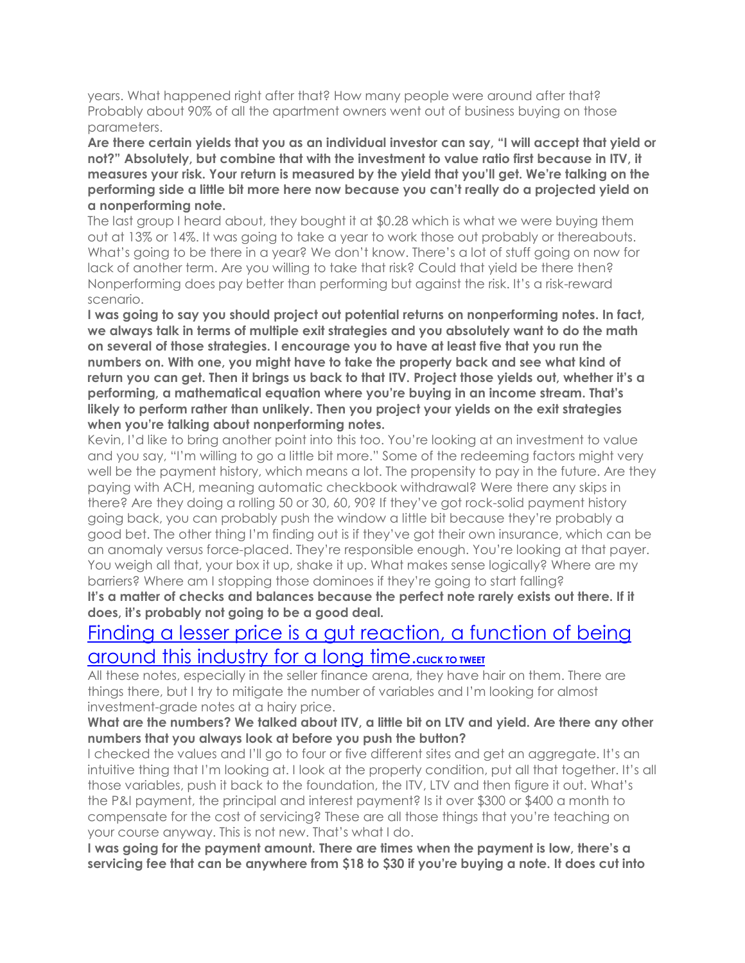years. What happened right after that? How many people were around after that? Probably about 90% of all the apartment owners went out of business buying on those parameters.

**Are there certain yields that you as an individual investor can say, "I will accept that yield or not?" Absolutely, but combine that with the investment to value ratio first because in ITV, it measures your risk. Your return is measured by the yield that you'll get. We're talking on the performing side a little bit more here now because you can't really do a projected yield on a nonperforming note.**

The last group I heard about, they bought it at \$0.28 which is what we were buying them out at 13% or 14%. It was going to take a year to work those out probably or thereabouts. What's going to be there in a year? We don't know. There's a lot of stuff going on now for lack of another term. Are you willing to take that risk? Could that yield be there then? Nonperforming does pay better than performing but against the risk. It's a risk-reward scenario.

**I was going to say you should project out potential returns on nonperforming notes. In fact, we always talk in terms ofmultiple exit strategies and you absolutely want to do the math on several of those strategies. I encourage you to have at least five that you run the numbers on. With one, you might have to take the property back and see what kind of** return you can get. Then it brings us back to that ITV. Project those yields out, whether it's a **performing, a mathematical equation where you're buying in an income stream. That's likely to perform rather than unlikely. Then you project your yields on the exit strategies when you're talking about nonperforming notes.**

Kevin, I'd like to bring another point into this too. You're looking at an investment to value and you say, "I'm willing to go a little bit more." Some of the redeeming factors might very well be the payment history, which means a lot. The propensity to pay in the future. Are they paying with ACH, meaning automatic checkbook withdrawal? Were there any skips in there? Are they doing a rolling 50 or 30, 60, 90? If they've got rock-solid payment history going back, you can probably push the window a little bit because they're probably a good bet. The other thing I'm finding out is if they've got their own insurance, which can be an anomaly versus force-placed. They're responsible enough. You're looking at that payer. You weigh all that, your box it up, shake it up. What makes sense logically? Where are my barriers? Where am I stopping those dominoes if they're going to start falling?

**It's a matter of checks and balances because the perfect note rarely exists out there. If it does, it's probably not going to be a good deal.**

## Finding a lesser price is a gut reaction, a function of being around this industry for a long time.cuck to tweet

All these notes, especially in the seller finance arena, they have hair on them. There are things there, but I try to mitigate the number of variables and I'm looking for almost investment-grade notes at a hairy price.

## What are the numbers? We talked about ITV, a little bit on LTV and yield. Are there any other **numbers that you always look at before you push the button?**

I checked the values and I'll go to four or five different sites and get an aggregate. It's an intuitive thing that I'm looking at. I look at the property condition, put all that together. It's all those variables, push it back to the foundation, the ITV, LTV and then figure it out. What's the P&I payment, the principal and interest payment? Is it over \$300 or \$400 a month to compensate for the cost of servicing? These are all those things that you're teaching on your course anyway. This is not new. That's what I do.

**I was going for the payment amount. There are times when the payment is low, there's a** servicing fee that can be anywhere from \$18 to \$30 if you're buying a note. It does cut into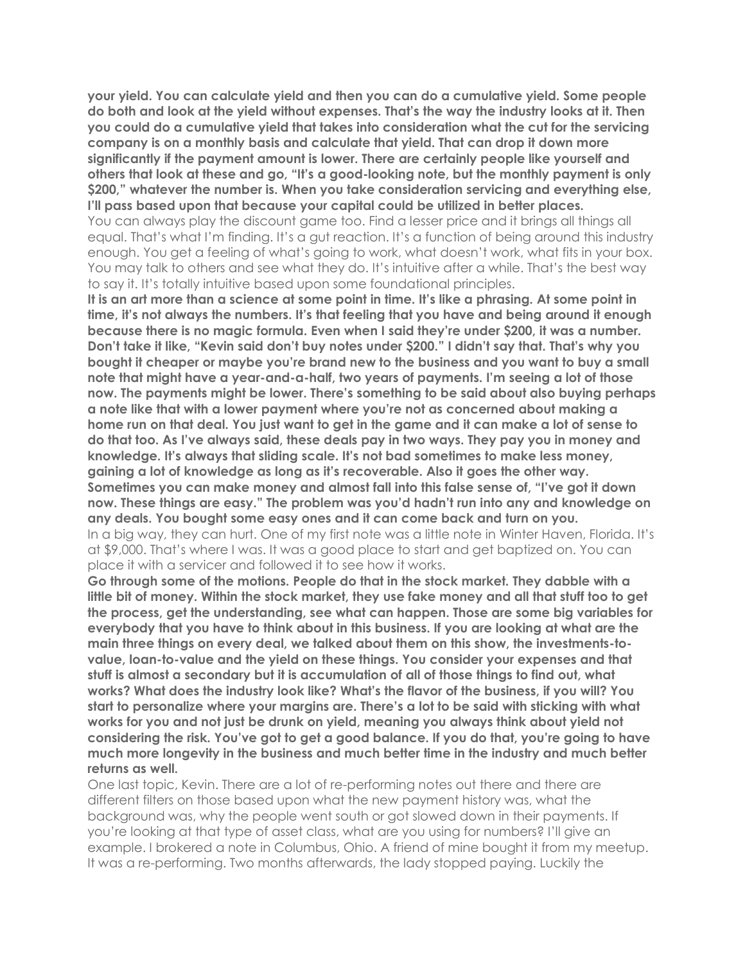**your yield. You can calculate yield and then you can do a cumulative yield. Some people do both and look at the yield without expenses. That's the way the industry looks at it. Then you could do a cumulative yield that takes into consideration what the cut for the servicing company is on a monthly basis and calculate that yield. That can drop it down more significantly if the payment amount is lower. There are certainly people like yourself and others that look at these and go, "It's a good-looking note, but the monthly payment is only \$200," whatever the number is. When you take consideration servicing and everything else, I'll pass based upon that because your capital could be utilized in better places.**

You can always play the discount game too. Find a lesser price and it brings all things all equal. That's what I'm finding. It's a gut reaction. It's a function of being around this industry enough. You get a feeling of what's going to work, what doesn't work, what fits in your box. You may talk to others and see what they do. It's intuitive after a while. That's the best way to say it. It's totally intuitive based upon some foundational principles.

It is an art more than a science at some point in time. It's like a phrasing. At some point in **time, it's not always the numbers. It's that feeling that you have and being around it enough because there is no magic formula. Even when I said they're under \$200, it was a number. Don't take it like, "Kevin said don't buy notes under \$200." I didn't say that. That's why you bought it cheaper or maybe you're brand new tothe business and you want to buy a small note that might have a year-and-a-half, two years ofpayments. I'm seeing a lot of those now. The payments might be lower. There's something to be said about also buying perhaps a note like that with a lower payment where you're not as concerned about making a** home run on that deal. You just want to get in the game and it can make a lot of sense to **do that too. As I've always said, these deals pay in two ways. They pay you in money and knowledge. It's always that sliding scale. It's not bad sometimes to make less money, gaining a lot of knowledge as long as it's recoverable. Also it goes the other way. Sometimes you can make money and almost fall into this false sense of, "I've got it down now. These things are easy." The problem was you'd hadn't run into any and knowledge on any deals. You bought some easy ones and it can come back and turn on you.** In a big way, they can hurt. One of my first note was a little note in Winter Haven, Florida. It's at \$9,000. That's where I was. It was a good place to start and get baptized on. You can place it with a servicer and followed it to see how it works.

**Go through some of the motions. People do that in the stock market. They dabble with a little bit ofmoney. Within the stock market, they use fake money and all that stuff too to get the process, get the understanding, see what can happen. Those are some big variables for everybody that you have to think about in this business. If you are looking at what are the main three things on every deal, we talked about them on this show, the investments-to value, loan-to-value and the yield on these things. You consider your expenses and that stuff is almost a secondary but it is accumulation of allof those things to find out, what works? What does the industry look like? What's the flavor of the business, if you will? You start to personalize where your margins are. There's a lot to be said with sticking with what works for you and not just be drunk on yield, meaning you always think about yield not considering the risk. You've got to get a good balance. If you do that, you're going to have much more longevity in the business and much better time in the industry and much better returns as well.**

One last topic, Kevin. There are a lot of re-performing notes out there and there are different filters on those based upon what the new payment history was, what the background was, why the people went south or got slowed down in their payments. If you're looking at that type of asset class, what are you using for numbers? I'll give an example. I brokered a note in Columbus, Ohio. A friend of mine bought it from my meetup. It was a re-performing. Two months afterwards, the lady stopped paying. Luckily the